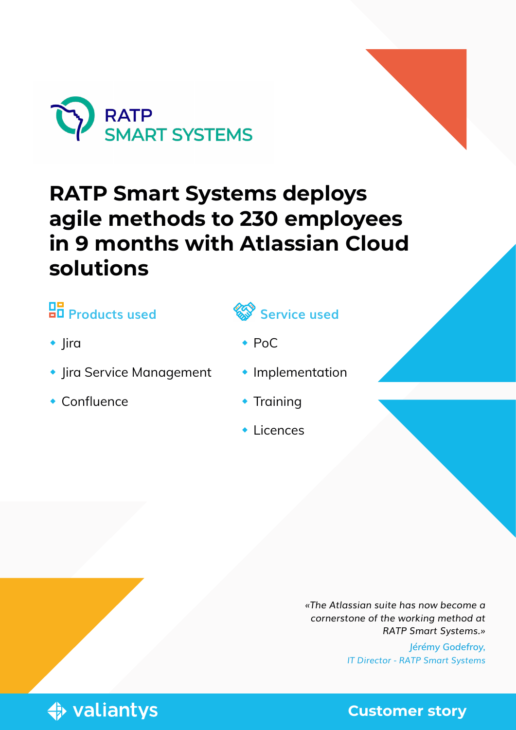

# **RATP Smart Systems deploys agile methods to 230 employees in 9 months with Atlassian Cloud solutions**

## **R** Products used

- $\bullet$  |ira
- **Jira Service Management**
- Confluence



- PoC
- **Implementation**
- **Training**
- $\cdot$  Licences

*«The Atlassian suite has now become a cornerstone of the working method at RATP Smart Systems.»* 

> *Jérémy Godefroy, IT Director - RATP Smart Systems*



**Customer story**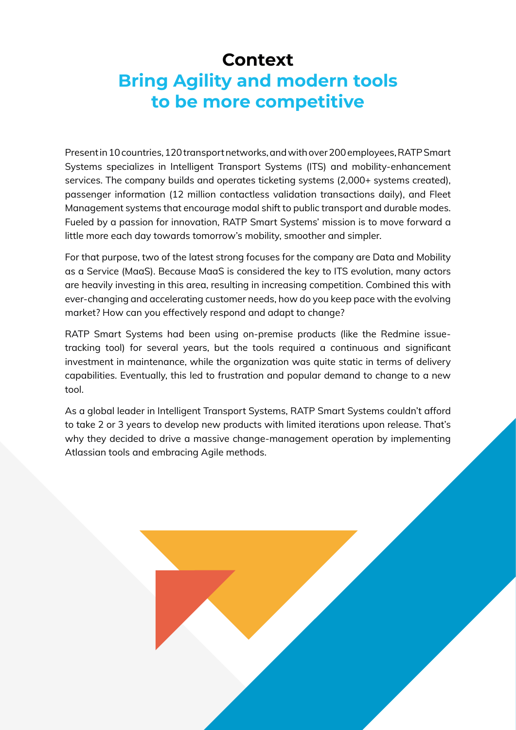### **Context Bring Agility and modern tools to be more competitive**

Present in 10 countries, 120 transport networks, and with over 200 employees, RATP Smart Systems specializes in Intelligent Transport Systems (ITS) and mobility-enhancement services. The company builds and operates ticketing systems (2,000+ systems created), passenger information (12 million contactless validation transactions daily), and Fleet Management systems that encourage modal shift to public transport and durable modes. Fueled by a passion for innovation, RATP Smart Systems' mission is to move forward a little more each day towards tomorrow's mobility, smoother and simpler.

For that purpose, two of the latest strong focuses for the company are Data and Mobility as a Service (MaaS). Because MaaS is considered the key to ITS evolution, many actors are heavily investing in this area, resulting in increasing competition. Combined this with ever-changing and accelerating customer needs, how do you keep pace with the evolving market? How can you effectively respond and adapt to change?

RATP Smart Systems had been using on-premise products (like the Redmine issuetracking tool) for several years, but the tools required a continuous and significant investment in maintenance, while the organization was quite static in terms of delivery capabilities. Eventually, this led to frustration and popular demand to change to a new tool.

As a global leader in Intelligent Transport Systems, RATP Smart Systems couldn't afford to take 2 or 3 years to develop new products with limited iterations upon release. That's why they decided to drive a massive change-management operation by implementing Atlassian tools and embracing Agile methods.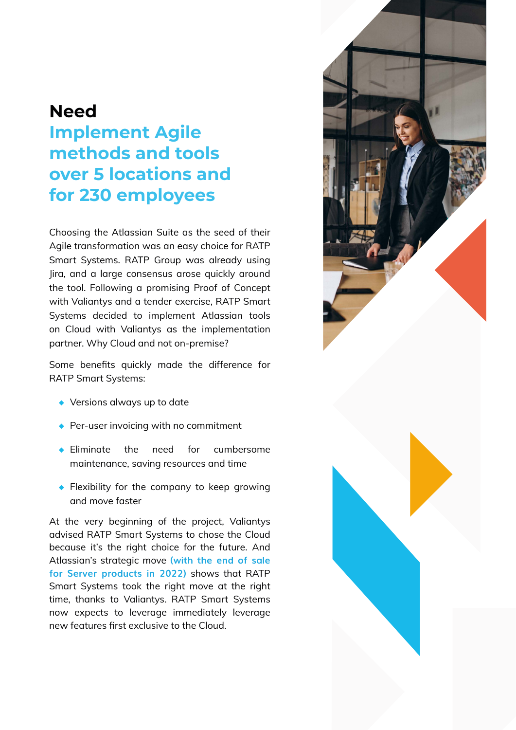#### **Need**

### **Implement Agile methods and tools over 5 locations and for 230 employees**

Choosing the Atlassian Suite as the seed of their Agile transformation was an easy choice for RATP Smart Systems. RATP Group was already using Jira, and a large consensus arose quickly around the tool. Following a promising Proof of Concept with Valiantys and a tender exercise, RATP Smart Systems decided to implement Atlassian tools on Cloud with Valiantys as the implementation partner. Why Cloud and not on-premise?

Some benefits quickly made the difference for RATP Smart Systems:

- **◆** Versions always up to date
- **◆** Per-user invoicing with no commitment
- **◆** Eliminate the need for cumbersome maintenance, saving resources and time
- **◆** Flexibility for the company to keep growing and move faster

At the very beginning of the project, Valiantys advised RATP Smart Systems to chose the Cloud because it's the right choice for the future. And Atlassian's strategic move **(with the end of sale for Server products in 2022)** shows that RATP Smart Systems took the right move at the right time, thanks to Valiantys. RATP Smart Systems now expects to leverage immediately leverage new features first exclusive to the Cloud.

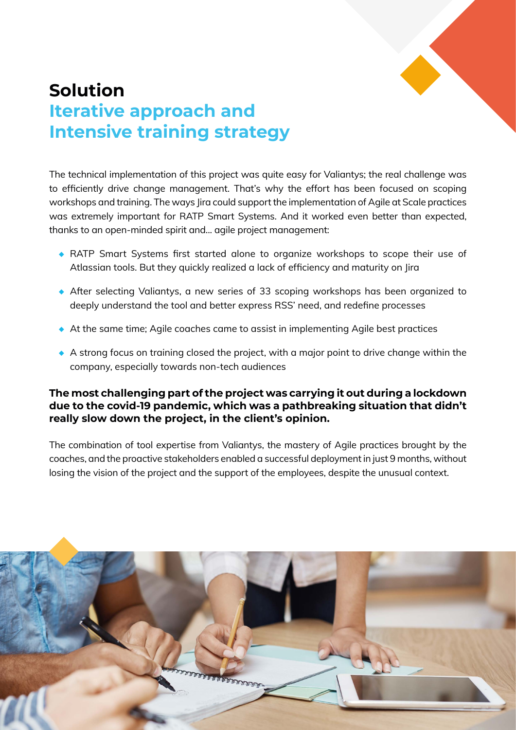

#### **Solution Iterative approach and Intensive training strategy**

The technical implementation of this project was quite easy for Valiantys; the real challenge was to efficiently drive change management. That's why the effort has been focused on scoping workshops and training. The ways Jira could support the implementation of Agile at Scale practices was extremely important for RATP Smart Systems. And it worked even better than expected, thanks to an open-minded spirit and... agile project management:

- ◆ RATP Smart Systems first started alone to organize workshops to scope their use of Atlassian tools. But they quickly realized a lack of efficiency and maturity on Jira
- **◆** After selecting Valiantys, a new series of 33 scoping workshops has been organized to deeply understand the tool and better express RSS' need, and redefine processes
- ◆ At the same time; Agile coaches came to assist in implementing Agile best practices
- ◆ A strong focus on training closed the project, with a major point to drive change within the company, especially towards non-tech audiences

#### **The most challenging part of the project was carrying it out during a lockdown due to the covid-19 pandemic, which was a pathbreaking situation that didn't really slow down the project, in the client's opinion.**

The combination of tool expertise from Valiantys, the mastery of Agile practices brought by the coaches, and the proactive stakeholders enabled a successful deployment in just 9 months, without losing the vision of the project and the support of the employees, despite the unusual context.